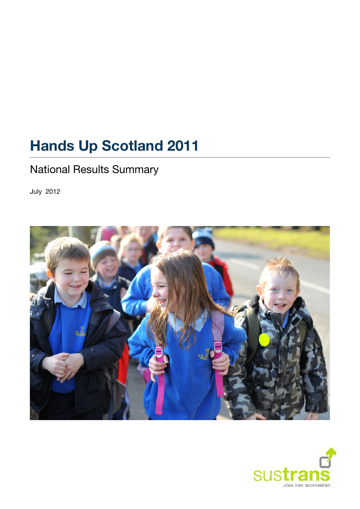# **Hands Up Scotland 2011**

# National Results Summary

<span id="page-0-0"></span>July 2012



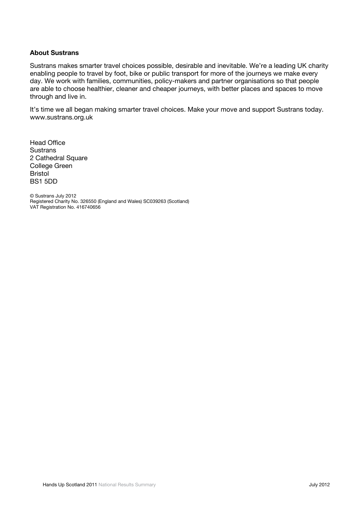#### **About Sustrans**

Sustrans makes smarter travel choices possible, desirable and inevitable. We're a leading UK charity enabling people to travel by foot, bike or public transport for more of the journeys we make every day. We work with families, communities, policy-makers and partner organisations so that people are able to choose healthier, cleaner and cheaper journeys, with better places and spaces to move through and live in.

It's time we all began making smarter travel choices. Make your move and support Sustrans today. [www.sustrans.org.uk](http://www.sustrans.org.uk/) 

Head Office **Sustrans** 2 Cathedral Square College Green Bristol BS1 5DD

© Sustrans [July](#page-0-0) [2012](#page-0-0)  Registered Charity No. 326550 (England and Wales) SC039263 (Scotland) VAT Registration No. 416740656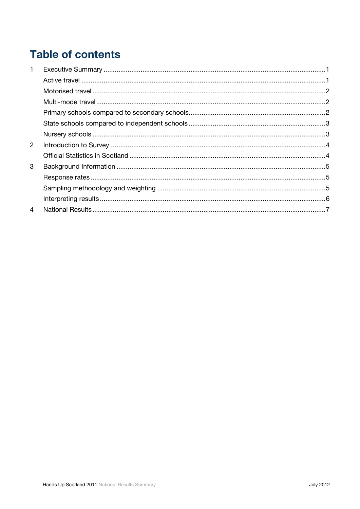# **Table of contents**

| $\mathbf 1$    |  |
|----------------|--|
|                |  |
|                |  |
|                |  |
|                |  |
|                |  |
|                |  |
| $\overline{2}$ |  |
|                |  |
| 3              |  |
|                |  |
|                |  |
|                |  |
| 4              |  |
|                |  |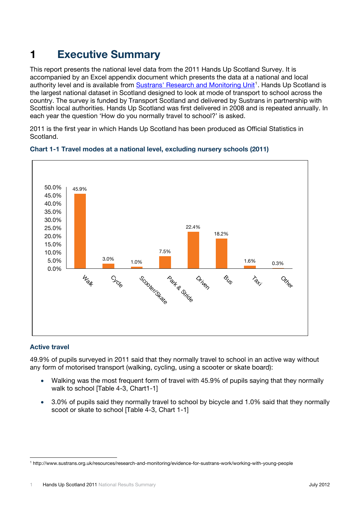# <span id="page-3-0"></span>**1 Executive Summary**

This report presents the national level data from the 2011 Hands Up Scotland Survey. It is accompanied by an Excel appendix document which presents the data at a national and local authority level and is available from [Sustrans' Research and Monitoring Unit](http://www.sustrans.org.uk/resources/research-and-monitoring/evidence-for-sustrans-work/working-with-young-people)<sup>[1](#page-3-2)</sup>. Hands Up Scotland is the largest national dataset in Scotland designed to look at mode of transport to school across the country. The survey is funded by Transport Scotland and delivered by Sustrans in partnership with Scottish local authorities. Hands Up Scotland was first delivered in 2008 and is repeated annually. In each year the question 'How do you normally travel to school?' is asked.

2011 is the first year in which Hands Up Scotland has been produced as Official Statistics in Scotland.



#### **Chart 1-1 Travel modes at a national level, excluding nursery schools (2011)**

#### <span id="page-3-1"></span>**Active travel**

49.9% of pupils surveyed in 2011 said that they normally travel to school in an active way without any form of motorised transport (walking, cycling, using a scooter or skate board):

- Walking was the most frequent form of travel with 45.9% of pupils saying that they normally walk to school [Table 4-3, Chart1-1]
- 3.0% of pupils said they normally travel to school by bicycle and 1.0% said that they normally scoot or skate to school ITable 4-3, Chart 1-11

<span id="page-3-2"></span><sup>1</sup> http://www.sustrans.org.uk/resources/research-and-monitoring/evidence-for-sustrans-work/working-with-young-people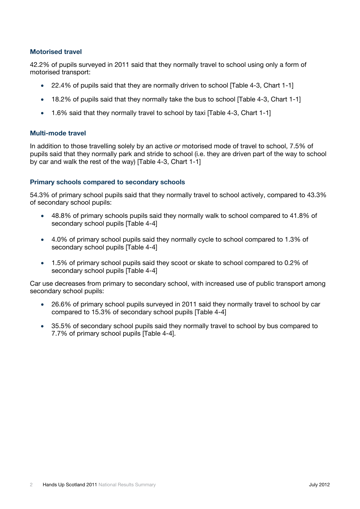#### <span id="page-4-0"></span>**Motorised travel**

42.2% of pupils surveyed in 2011 said that they normally travel to school using only a form of motorised transport:

- 22.4% of pupils said that they are normally driven to school [Table 4-3, Chart 1-1]
- 18.2% of pupils said that they normally take the bus to school [Table 4-3, Chart 1-1]
- 1.6% said that they normally travel to school by taxi [Table 4-3, Chart 1-1]

#### <span id="page-4-1"></span>**Multi-mode travel**

In addition to those travelling solely by an active *or* motorised mode of travel to school, 7.5% of pupils said that they normally park and stride to school (i.e. they are driven part of the way to school by car and walk the rest of the way) [Table 4-3, Chart 1-1]

#### <span id="page-4-2"></span>**Primary schools compared to secondary schools**

54.3% of primary school pupils said that they normally travel to school actively, compared to 43.3% of secondary school pupils:

- 48.8% of primary schools pupils said they normally walk to school compared to 41.8% of secondary school pupils [Table 4-4]
- 4.0% of primary school pupils said they normally cycle to school compared to 1.3% of secondary school pupils [Table 4-4]
- 1.5% of primary school pupils said they scoot or skate to school compared to 0.2% of secondary school pupils [Table 4-4]

Car use decreases from primary to secondary school, with increased use of public transport among secondary school pupils:

- 26.6% of primary school pupils surveyed in 2011 said they normally travel to school by car compared to 15.3% of secondary school pupils [Table 4-4]
- 35.5% of secondary school pupils said they normally travel to school by bus compared to 7.7% of primary school pupils [Table 4-4].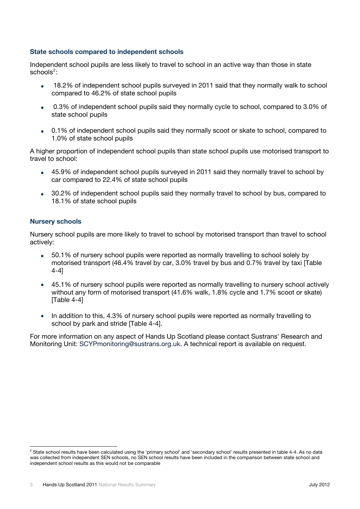#### <span id="page-5-0"></span>**State schools compared to independent schools**

Independent school pupils are less likely to travel to school in an active way than those in state  $\sf{schools}^2$  $\sf{schools}^2$ :

- 18.2% of independent school pupils surveyed in 2011 said that they normally walk to school compared to 46.2% of state school pupils
- 0.3% of independent school pupils said they normally cycle to school, compared to 3.0% of state school pupils
- 0.1% of independent school pupils said they normally scoot or skate to school, compared to 1.0% of state school pupils

A higher proportion of independent school pupils than state school pupils use motorised transport to travel to school:

- 45.9% of independent school pupils surveyed in 2011 said they normally travel to school by car compared to 22.4% of state school pupils
- 30.2% of independent school pupils said they normally travel to school by bus, compared to 18.1% of state school pupils

#### <span id="page-5-1"></span>**Nursery schools**

Nursery school pupils are more likely to travel to school by motorised transport than travel to school actively:

- 50.1% of nursery school pupils were reported as normally travelling to school solely by motorised transport (46.4% travel by car, 3.0% travel by bus and 0.7% travel by taxi [Table 4-4]
- 45.1% of nursery school pupils were reported as normally travelling to nursery school actively without any form of motorised transport (41.6% walk, 1.8% cycle and 1.7% scoot or skate) [Table 4-4]
- In addition to this, 4.3% of nursery school pupils were reported as normally travelling to school by park and stride [Table 4-4].

For more information on any aspect of Hands Up Scotland please contact Sustrans' Research and Monitoring Unit: [SCYPmonitoring@sustrans.org.uk](mailto:matthew.dawes@sustrans.org.uk). A technical report is available on request.

<span id="page-5-2"></span> $\overline{2}$ <sup>2</sup> State school results have been calculated using the 'primary school' and 'secondary school' results presented in table 4-4. As no data was collected from independent SEN schools, no SEN school results have been included in the comparison between state school and independent school results as this would not be comparable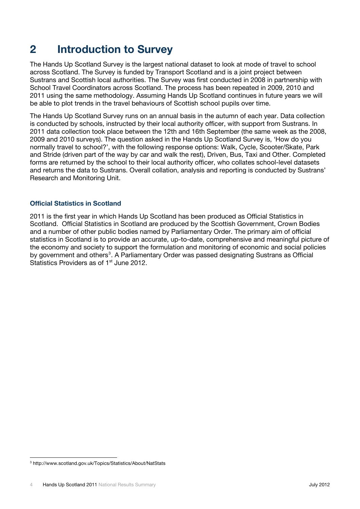### <span id="page-6-0"></span>**2 Introduction to Survey**

The Hands Up Scotland Survey is the largest national dataset to look at mode of travel to school across Scotland. The Survey is funded by Transport Scotland and is a joint project between Sustrans and Scottish local authorities. The Survey was first conducted in 2008 in partnership with School Travel Coordinators across Scotland. The process has been repeated in 2009, 2010 and 2011 using the same methodology. Assuming Hands Up Scotland continues in future years we will be able to plot trends in the travel behaviours of Scottish school pupils over time.

The Hands Up Scotland Survey runs on an annual basis in the autumn of each year. Data collection is conducted by schools, instructed by their local authority officer, with support from Sustrans. In 2011 data collection took place between the 12th and 16th September (the same week as the 2008, 2009 and 2010 surveys). The question asked in the Hands Up Scotland Survey is, 'How do you normally travel to school?', with the following response options: Walk, Cycle, Scooter/Skate, Park and Stride (driven part of the way by car and walk the rest), Driven, Bus, Taxi and Other. Completed forms are returned by the school to their local authority officer, who collates school-level datasets and returns the data to Sustrans. Overall collation, analysis and reporting is conducted by Sustrans' Research and Monitoring Unit.

#### **Official Statistics in Scotland**

<span id="page-6-1"></span>2011 is the first year in which Hands Up Scotland has been produced as Official Statistics in Scotland. Official Statistics in Scotland are produced by the Scottish Government, Crown Bodies and a number of other public bodies named by Parliamentary Order. The primary aim of official statistics in Scotland is to provide an accurate, up-to-date, comprehensive and meaningful picture of the economy and society to support the formulation and monitoring of economic and social policies by government and others<sup>[3](#page-6-2)</sup>. A Parliamentary Order was passed designating Sustrans as Official Statistics Providers as of 1<sup>st</sup> June 2012.

<span id="page-6-2"></span><sup>-&</sup>lt;br>3 http://www.scotland.gov.uk/Topics/Statistics/About/NatStats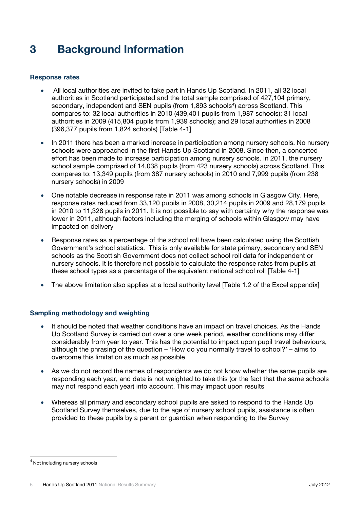## <span id="page-7-0"></span>**3 Background Information**

#### <span id="page-7-1"></span>**Response rates**

- All local authorities are invited to take part in Hands Up Scotland. In 2011, all 32 local authorities in Scotland participated and the total sample comprised of 427,104 primary, secondary, independent and SEN pupils (from 1,893 schools<sup>[4](#page-7-3)</sup>) across Scotland. This compares to: 32 local authorities in 2010 (439,401 pupils from 1,987 schools); 31 local authorities in 2009 (415,804 pupils from 1,939 schools); and 29 local authorities in 2008 (396,377 pupils from 1,824 schools) [Table 4-1]
- In 2011 there has been a marked increase in participation among nursery schools. No nursery schools were approached in the first Hands Up Scotland in 2008. Since then, a concerted effort has been made to increase participation among nursery schools. In 2011, the nursery school sample comprised of 14,038 pupils (from 423 nursery schools) across Scotland. This compares to: 13,349 pupils (from 387 nursery schools) in 2010 and 7,999 pupils (from 238 nursery schools) in 2009
- One notable decrease in response rate in 2011 was among schools in Glasgow City. Here, response rates reduced from 33,120 pupils in 2008, 30,214 pupils in 2009 and 28,179 pupils in 2010 to 11,328 pupils in 2011. It is not possible to say with certainty why the response was lower in 2011, although factors including the merging of schools within Glasgow may have impacted on delivery
- Response rates as a percentage of the school roll have been calculated using the Scottish Government's school statistics. This is only available for state primary, secondary and SEN schools as the Scottish Government does not collect school roll data for independent or nursery schools. It is therefore not possible to calculate the response rates from pupils at these school types as a percentage of the equivalent national school roll [Table 4-1]
- The above limitation also applies at a local authority level [Table 1.2 of the Excel appendix]

#### <span id="page-7-2"></span>**Sampling methodology and weighting**

- It should be noted that weather conditions have an impact on travel choices. As the Hands Up Scotland Survey is carried out over a one week period, weather conditions may differ considerably from year to year. This has the potential to impact upon pupil travel behaviours, although the phrasing of the question – 'How do you normally travel to school?' – aims to overcome this limitation as much as possible
- As we do not record the names of respondents we do not know whether the same pupils are responding each year, and data is not weighted to take this (or the fact that the same schools may not respond each year) into account. This may impact upon results
- Whereas all primary and secondary school pupils are asked to respond to the Hands Up Scotland Survey themselves, due to the age of nursery school pupils, assistance is often provided to these pupils by a parent or guardian when responding to the Survey

<span id="page-7-3"></span><sup>4</sup> Not including nursery schools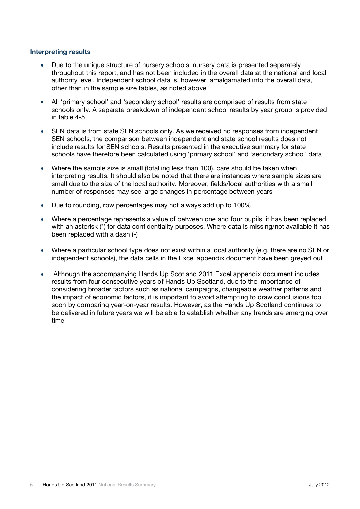#### <span id="page-8-0"></span>**Interpreting results**

- Due to the unique structure of nursery schools, nursery data is presented separately throughout this report, and has not been included in the overall data at the national and local authority level. Independent school data is, however, amalgamated into the overall data, other than in the sample size tables, as noted above
- All 'primary school' and 'secondary school' results are comprised of results from state schools only. A separate breakdown of independent school results by year group is provided in table 4-5
- SEN data is from state SEN schools only. As we received no responses from independent SEN schools, the comparison between independent and state school results does not include results for SEN schools. Results presented in the executive summary for state schools have therefore been calculated using 'primary school' and 'secondary school' data
- Where the sample size is small (totalling less than 100), care should be taken when interpreting results. It should also be noted that there are instances where sample sizes are small due to the size of the local authority. Moreover, fields/local authorities with a small number of responses may see large changes in percentage between years
- Due to rounding, row percentages may not always add up to 100%
- Where a percentage represents a value of between one and four pupils, it has been replaced with an asterisk (\*) for data confidentiality purposes. Where data is missing/not available it has been replaced with a dash (-)
- Where a particular school type does not exist within a local authority (e.g. there are no SEN or independent schools), the data cells in the Excel appendix document have been greyed out
- Although the accompanying Hands Up Scotland 2011 Excel appendix document includes results from four consecutive years of Hands Up Scotland, due to the importance of considering broader factors such as national campaigns, changeable weather patterns and the impact of economic factors, it is important to avoid attempting to draw conclusions too soon by comparing year-on-year results. However, as the Hands Up Scotland continues to be delivered in future years we will be able to establish whether any trends are emerging over time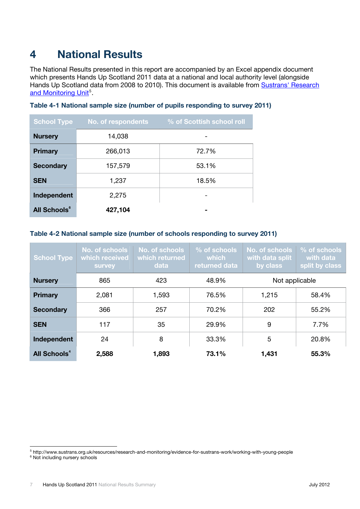## <span id="page-9-0"></span>**4 National Results**

The National Results presented in this report are accompanied by an Excel appendix document which presents Hands Up Scotland 2011 data at a national and local authority level (alongside Hands Up Scotland data from 2008 to 2010). This document is available from Sustrans' Research [and Monitoring Unit](http://www.sustrans.org.uk/resources/research-and-monitoring/evidence-for-sustrans-work/working-with-young-people)<sup>[5](#page-9-1)</sup>.

| <b>School Type</b>       | No. of respondents | % of Scottish school roll |  |  |  |  |
|--------------------------|--------------------|---------------------------|--|--|--|--|
| <b>Nursery</b>           | 14,038             |                           |  |  |  |  |
| <b>Primary</b>           | 266,013            | 72.7%                     |  |  |  |  |
| <b>Secondary</b>         | 157,579            | 53.1%                     |  |  |  |  |
| <b>SEN</b>               | 1,237              | 18.5%                     |  |  |  |  |
| Independent              | 2,275              |                           |  |  |  |  |
| All Schools <sup>6</sup> | 427,104            |                           |  |  |  |  |

#### **Table 4-1 National sample size (number of pupils responding to survey 2011)**

#### **Table 4-2 National sample size (number of schools responding to survey 2011)**

| <b>School Type</b>             | No. of schools<br>which received<br><b>Survey</b> | No. of schools<br>which returned<br>data | % of schools<br>which<br>returned data | No. of schools<br>with data split<br>by class | % of schools<br>with data<br>split by class |  |
|--------------------------------|---------------------------------------------------|------------------------------------------|----------------------------------------|-----------------------------------------------|---------------------------------------------|--|
| <b>Nursery</b>                 | 865                                               | 423                                      | 48.9%                                  | Not applicable                                |                                             |  |
| <b>Primary</b>                 | 2,081                                             | 1,593                                    | 76.5%                                  | 1,215                                         | 58.4%                                       |  |
| <b>Secondary</b>               | 366                                               | 257                                      | 70.2%                                  | 202                                           | 55.2%                                       |  |
| <b>SEN</b>                     | 117                                               | 35                                       | 29.9%                                  | 9                                             | 7.7%                                        |  |
| Independent                    | 24                                                | 8                                        | 33.3%                                  | 5                                             | 20.8%                                       |  |
| <b>All Schools<sup>4</sup></b> | 2,588                                             | 1,893                                    | 73.1%                                  | 1,431                                         | 55.3%                                       |  |

<sup>-&</sup>lt;br>5 http://www.sustrans.org.uk/resources/research-and-monitoring/evidence-for-sustrans-work/working-with-young-people 6

<span id="page-9-3"></span><span id="page-9-2"></span><span id="page-9-1"></span> $6$  Not including nursery schools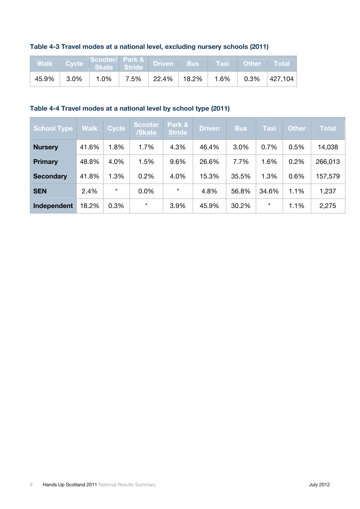#### **Table 4-3 Travel modes at a national level, excluding nursery schools (2011)**

|       |          | Walk Cycle Scooter/ Park & Driven Bus Taxi Other Total |  |  |                                                       |
|-------|----------|--------------------------------------------------------|--|--|-------------------------------------------------------|
| 45.9% | $ 3.0\%$ |                                                        |  |  | $1.0\%$   7.5%   22.4%   18.2%   1.6%   0.3%  427,104 |

#### **Table 4-4 Travel modes at a national level by school type (2011)**

| <b>School Type</b> | <b>Walk</b> | <b>Cycle</b> | <b>Scooter</b><br>/Skate | Park &<br><b>Stride</b> | <b>Driven</b> | <b>Bus</b> | <b>Taxi</b> | <b>Other</b> | <b>Total</b> |
|--------------------|-------------|--------------|--------------------------|-------------------------|---------------|------------|-------------|--------------|--------------|
| <b>Nursery</b>     | 41.6%       | 1.8%         | 1.7%                     | 4.3%                    | 46.4%         | 3.0%       | 0.7%        | 0.5%         | 14,038       |
| <b>Primary</b>     | 48.8%       | 4.0%         | 1.5%                     | 9.6%                    | 26.6%         | 7.7%       | 1.6%        | 0.2%         | 266,013      |
| <b>Secondary</b>   | 41.8%       | 1.3%         | 0.2%                     | 4.0%                    | 15.3%         | 35.5%      | 1.3%        | 0.6%         | 157,579      |
| <b>SEN</b>         | 2.4%        | $\star$      | 0.0%                     | $\star$                 | 4.8%          | 56.8%      | 34.6%       | 1.1%         | 1,237        |
| Independent        | 18.2%       | 0.3%         | $\star$                  | 3.9%                    | 45.9%         | 30.2%      | $\star$     | 1.1%         | 2,275        |